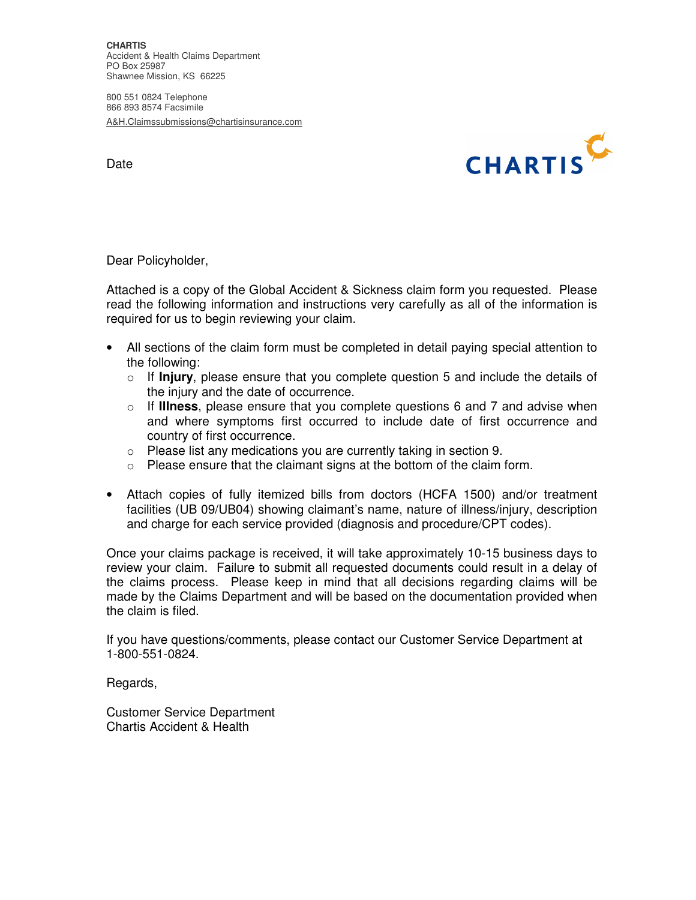**CHARTIS**  Accident & Health Claims Department PO Box 25987 Shawnee Mission, KS 66225

800 551 0824 Telephone 866 893 8574 Facsimile A&H.Claimssubmissions@chartisinsurance.com

Date



Dear Policyholder,

Attached is a copy of the Global Accident & Sickness claim form you requested. Please read the following information and instructions very carefully as all of the information is required for us to begin reviewing your claim.

- All sections of the claim form must be completed in detail paying special attention to the following:
	- o If **Injury**, please ensure that you complete question 5 and include the details of the injury and the date of occurrence.
	- o If **Illness**, please ensure that you complete questions 6 and 7 and advise when and where symptoms first occurred to include date of first occurrence and country of first occurrence.
	- o Please list any medications you are currently taking in section 9.
	- o Please ensure that the claimant signs at the bottom of the claim form.
- Attach copies of fully itemized bills from doctors (HCFA 1500) and/or treatment facilities (UB 09/UB04) showing claimant's name, nature of illness/injury, description and charge for each service provided (diagnosis and procedure/CPT codes).

Once your claims package is received, it will take approximately 10-15 business days to review your claim. Failure to submit all requested documents could result in a delay of the claims process. Please keep in mind that all decisions regarding claims will be made by the Claims Department and will be based on the documentation provided when the claim is filed.

If you have questions/comments, please contact our Customer Service Department at 1-800-551-0824.

Regards,

Customer Service Department Chartis Accident & Health